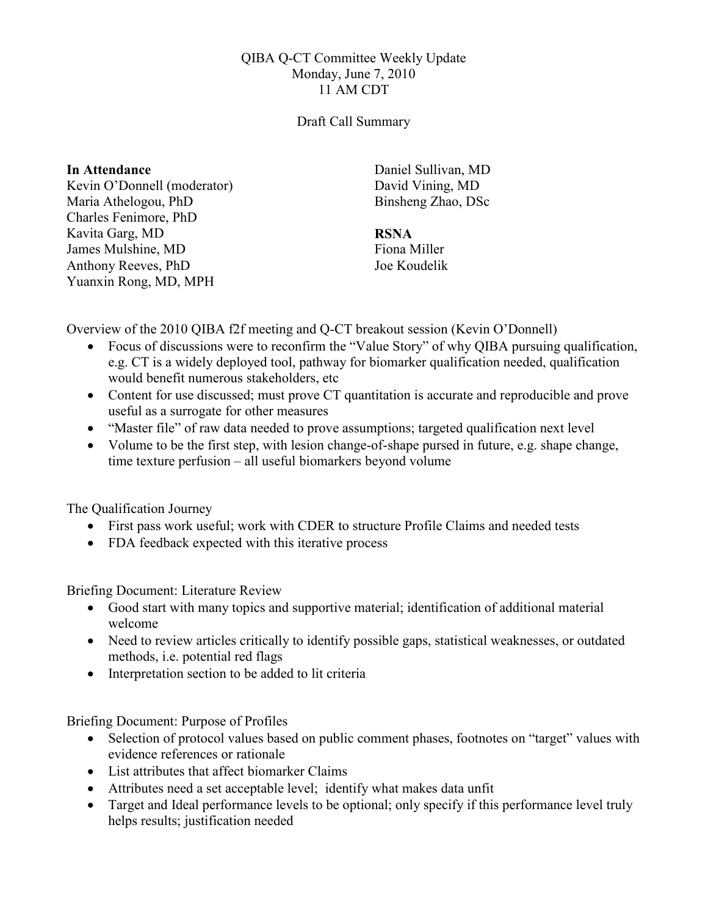## QIBA Q-CT Committee Weekly Update Monday, June 7, 2010 11 AM CDT

## Draft Call Summary

In Attendance Kevin O'Donnell (moderator) Maria Athelogou, PhD Charles Fenimore, PhD Kavita Garg, MD James Mulshine, MD Anthony Reeves, PhD Yuanxin Rong, MD, MPH

Daniel Sullivan, MD David Vining, MD Binsheng Zhao, DSc

## RSNA

Fiona Miller Joe Koudelik

Overview of the 2010 QIBA f2f meeting and Q-CT breakout session (Kevin O'Donnell)

- Focus of discussions were to reconfirm the "Value Story" of why OIBA pursuing qualification, e.g. CT is a widely deployed tool, pathway for biomarker qualification needed, qualification would benefit numerous stakeholders, etc
- Content for use discussed; must prove CT quantitation is accurate and reproducible and prove useful as a surrogate for other measures
- "Master file" of raw data needed to prove assumptions; targeted qualification next level
- Volume to be the first step, with lesion change-of-shape pursed in future, e.g. shape change, time texture perfusion – all useful biomarkers beyond volume

The Qualification Journey

- First pass work useful; work with CDER to structure Profile Claims and needed tests
- FDA feedback expected with this iterative process

Briefing Document: Literature Review

- Good start with many topics and supportive material; identification of additional material welcome
- Need to review articles critically to identify possible gaps, statistical weaknesses, or outdated methods, i.e. potential red flags
- Interpretation section to be added to lit criteria

Briefing Document: Purpose of Profiles

- Selection of protocol values based on public comment phases, footnotes on "target" values with evidence references or rationale
- List attributes that affect biomarker Claims
- Attributes need a set acceptable level; identify what makes data unfit
- Target and Ideal performance levels to be optional; only specify if this performance level truly helps results; justification needed